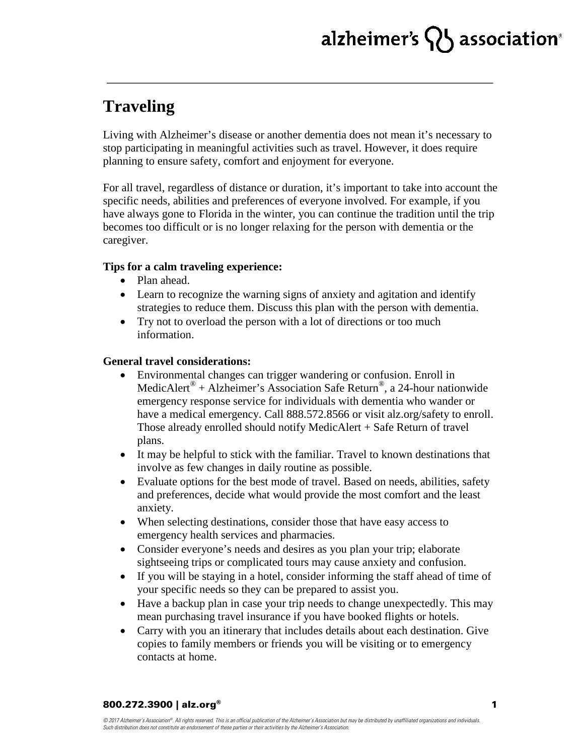# alzheimer's  $\{ \}$  association

### **Traveling**

Living with Alzheimer's disease or another dementia does not mean it's necessary to stop participating in meaningful activities such as travel. However, it does require planning to ensure safety, comfort and enjoyment for everyone.

For all travel, regardless of distance or duration, it's important to take into account the specific needs, abilities and preferences of everyone involved. For example, if you have always gone to Florida in the winter, you can continue the tradition until the trip becomes too difficult or is no longer relaxing for the person with dementia or the caregiver.

### **Tips for a calm traveling experience:**

- Plan ahead.
- Learn to recognize the warning signs of anxiety and agitation and identify strategies to reduce them. Discuss this plan with the person with dementia.
- Try not to overload the person with a lot of directions or too much information.

### **General travel considerations:**

- Environmental changes can trigger wandering or confusion. Enroll in MedicAlert<sup>®</sup> + Alzheimer's Association Safe Return<sup>®</sup>, a 24-hour nationwide emergency response service for individuals with dementia who wander or have a medical emergency. Call 888.572.8566 or visit alz.org/safety to enroll. Those already enrolled should notify MedicAlert + Safe Return of travel plans.
- It may be helpful to stick with the familiar. Travel to known destinations that involve as few changes in daily routine as possible.
- Evaluate options for the best mode of travel. Based on needs, abilities, safety and preferences, decide what would provide the most comfort and the least anxiety.
- When selecting destinations, consider those that have easy access to emergency health services and pharmacies.
- Consider everyone's needs and desires as you plan your trip; elaborate sightseeing trips or complicated tours may cause anxiety and confusion.
- If you will be staying in a hotel, consider informing the staff ahead of time of your specific needs so they can be prepared to assist you.
- Have a backup plan in case your trip needs to change unexpectedly. This may mean purchasing travel insurance if you have booked flights or hotels.
- Carry with you an itinerary that includes details about each destination. Give copies to family members or friends you will be visiting or to emergency contacts at home.

#### 800.272.3900 | alz.org®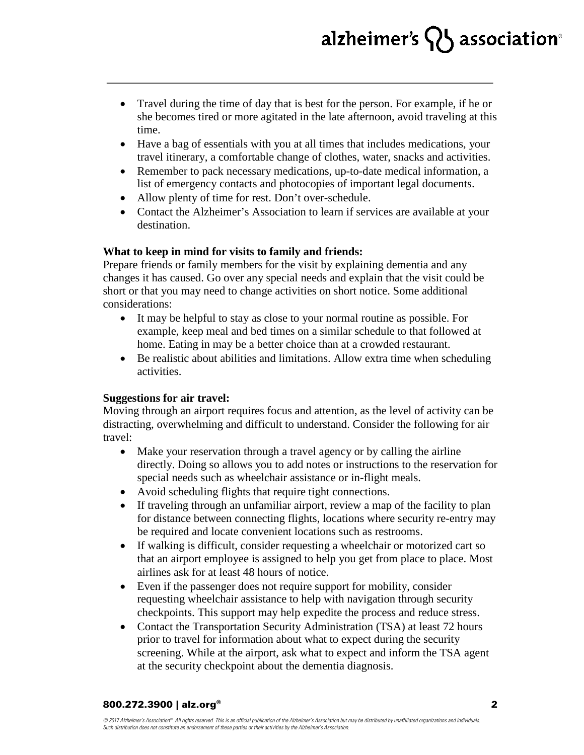# alzheimer's  $\{ \}$  association

- Travel during the time of day that is best for the person. For example, if he or she becomes tired or more agitated in the late afternoon, avoid traveling at this time.
- Have a bag of essentials with you at all times that includes medications, your travel itinerary, a comfortable change of clothes, water, snacks and activities.
- Remember to pack necessary medications, up-to-date medical information, a list of emergency contacts and photocopies of important legal documents.
- Allow plenty of time for rest. Don't over-schedule.
- Contact the Alzheimer's Association to learn if services are available at your destination.

### **What to keep in mind for visits to family and friends:**

Prepare friends or family members for the visit by explaining dementia and any changes it has caused. Go over any special needs and explain that the visit could be short or that you may need to change activities on short notice. Some additional considerations:

- It may be helpful to stay as close to your normal routine as possible. For example, keep meal and bed times on a similar schedule to that followed at home. Eating in may be a better choice than at a crowded restaurant.
- Be realistic about abilities and limitations. Allow extra time when scheduling activities.

### **Suggestions for air travel:**

Moving through an airport requires focus and attention, as the level of activity can be distracting, overwhelming and difficult to understand. Consider the following for air travel:

- Make your reservation through a travel agency or by calling the airline directly. Doing so allows you to add notes or instructions to the reservation for special needs such as wheelchair assistance or in-flight meals.
- Avoid scheduling flights that require tight connections.
- If traveling through an unfamiliar airport, review a map of the facility to plan for distance between connecting flights, locations where security re-entry may be required and locate convenient locations such as restrooms.
- If walking is difficult, consider requesting a wheelchair or motorized cart so that an airport employee is assigned to help you get from place to place. Most airlines ask for at least 48 hours of notice.
- Even if the passenger does not require support for mobility, consider requesting wheelchair assistance to help with navigation through security checkpoints. This support may help expedite the process and reduce stress.
- Contact the Transportation Security Administration (TSA) at least 72 hours prior to travel for information about what to expect during the security screening. While at the airport, ask what to expect and inform the TSA agent at the security checkpoint about the dementia diagnosis.